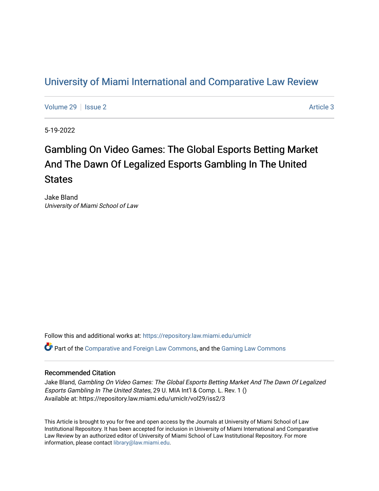# [University of Miami International and Comparative Law Review](https://repository.law.miami.edu/umiclr)

[Volume 29](https://repository.law.miami.edu/umiclr/vol29) | [Issue 2](https://repository.law.miami.edu/umiclr/vol29/iss2) Article 3

5-19-2022

# Gambling On Video Games: The Global Esports Betting Market And The Dawn Of Legalized Esports Gambling In The United **States**

Jake Bland University of Miami School of Law

Follow this and additional works at: [https://repository.law.miami.edu/umiclr](https://repository.law.miami.edu/umiclr?utm_source=repository.law.miami.edu%2Fumiclr%2Fvol29%2Fiss2%2F3&utm_medium=PDF&utm_campaign=PDFCoverPages)

Part of the [Comparative and Foreign Law Commons,](https://network.bepress.com/hgg/discipline/836?utm_source=repository.law.miami.edu%2Fumiclr%2Fvol29%2Fiss2%2F3&utm_medium=PDF&utm_campaign=PDFCoverPages) and the [Gaming Law Commons](https://network.bepress.com/hgg/discipline/1117?utm_source=repository.law.miami.edu%2Fumiclr%2Fvol29%2Fiss2%2F3&utm_medium=PDF&utm_campaign=PDFCoverPages) 

# Recommended Citation

Jake Bland, Gambling On Video Games: The Global Esports Betting Market And The Dawn Of Legalized Esports Gambling In The United States, 29 U. MIA Int'l & Comp. L. Rev. 1 () Available at: https://repository.law.miami.edu/umiclr/vol29/iss2/3

This Article is brought to you for free and open access by the Journals at University of Miami School of Law Institutional Repository. It has been accepted for inclusion in University of Miami International and Comparative Law Review by an authorized editor of University of Miami School of Law Institutional Repository. For more information, please contact [library@law.miami.edu](mailto:library@law.miami.edu).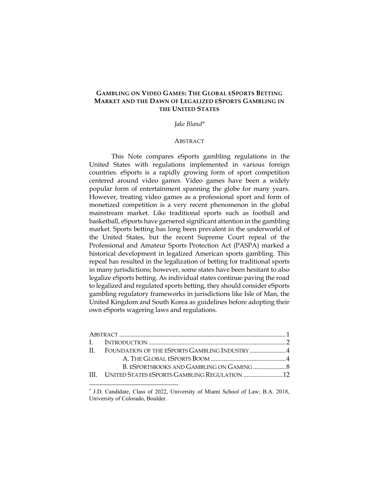# **GAMBLING ON VIDEO GAMES: THE GLOBAL ESPORTS BETTING MARKET AND THE DAWN OF LEGALIZED ESPORTS GAMBLING IN THE UNITED STATES**

#### *Jake Bland\**

#### ABSTRACT

This Note compares eSports gambling regulations in the United States with regulations implemented in various foreign countries. eSports is a rapidly growing form of sport competition centered around video games. Video games have been a widely popular form of entertainment spanning the globe for many years. However, treating video games as a professional sport and form of monetized competition is a very recent phenomenon in the global mainstream market. Like traditional sports such as football and basketball, eSports have garnered significant attention in the gambling market. Sports betting has long been prevalent in the underworld of the United States, but the recent Supreme Court repeal of the Professional and Amateur Sports Protection Act (PASPA) marked a historical development in legalized American sports gambling. This repeal has resulted in the legalization of betting for traditional sports in many jurisdictions; however, some states have been hesitant to also legalize eSports betting. As individual states continue paving the road to legalized and regulated sports betting, they should consider eSports gambling regulatory frameworks in jurisdictions like Isle of Man, the United Kingdom and South Korea as guidelines before adopting their own eSports wagering laws and regulations.

| II. FOUNDATION OF THE ESPORTS GAMBLING INDUSTRY 4  |  |
|----------------------------------------------------|--|
|                                                    |  |
|                                                    |  |
| III. UNITED STATES ESPORTS GAMBLING REGULATION  12 |  |
|                                                    |  |

<sup>\*</sup> J.D. Candidate, Class of 2022, University of Miami School of Law; B.A. 2018, University of Colorado, Boulder.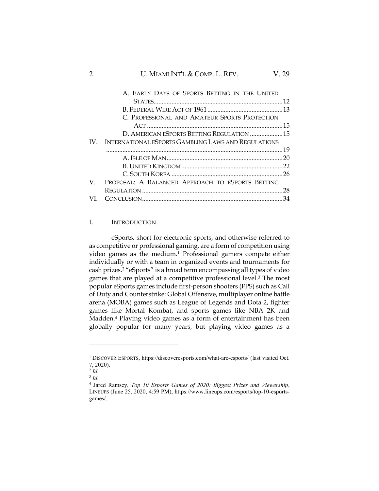# 2 U. MIAMI INT'L & COMP. L. REV. V. 29

|     | A. EARLY DAYS OF SPORTS BETTING IN THE UNITED       |  |
|-----|-----------------------------------------------------|--|
|     |                                                     |  |
|     |                                                     |  |
|     | C. PROFESSIONAL AND AMATEUR SPORTS PROTECTION       |  |
|     |                                                     |  |
|     | D. AMERICAN ESPORTS BETTING REGULATION 15           |  |
| IV. | INTERNATIONAL ESPORTS GAMBLING LAWS AND REGULATIONS |  |
|     |                                                     |  |
|     |                                                     |  |
|     |                                                     |  |
|     |                                                     |  |
| V.  | PROPOSAL: A BALANCED APPROACH TO ESPORTS BETTING    |  |
|     |                                                     |  |
| VI. |                                                     |  |
|     |                                                     |  |

# I. INTRODUCTION

eSports, short for electronic sports, and otherwise referred to as competitive or professional gaming, are a form of competition using video games as the medium.<sup>1</sup> Professional gamers compete either individually or with a team in organized events and tournaments for cash prizes.<sup>2</sup> "eSports" is a broad term encompassing all types of video games that are played at a competitive professional level.<sup>3</sup> The most popular eSports games include first-person shooters (FPS) such as Call of Duty and Counterstrike: Global Offensive, multiplayer online battle arena (MOBA) games such as League of Legends and Dota 2, fighter games like Mortal Kombat, and sports games like NBA 2K and Madden.<sup>4</sup> Playing video games as a form of entertainment has been globally popular for many years, but playing video games as a

<sup>&</sup>lt;sup>1</sup> DISCOVER ESPORTS, https://discoveresports.com/what-are-esports/ (last visited Oct. 7, 2020).

<sup>2</sup> *Id.*

<sup>3</sup> *Id.*

<sup>4</sup> Jared Ramsey, *Top 10 Esports Games of 2020: Biggest Prizes and Viewership*, LINEUPS (June 25, 2020, 4:59 PM), https://www.lineups.com/esports/top-10-esportsgames/.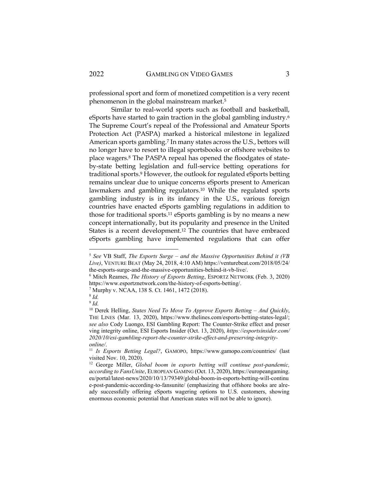professional sport and form of monetized competition is a very recent phenomenon in the global mainstream market.<sup>5</sup>

Similar to real-world sports such as football and basketball, eSports have started to gain traction in the global gambling industry.<sup>6</sup> The Supreme Court's repeal of the Professional and Amateur Sports Protection Act (PASPA) marked a historical milestone in legalized American sports gambling.<sup>7</sup> In many states across the U.S., bettors will no longer have to resort to illegal sportsbooks or offshore websites to place wagers.<sup>8</sup> The PASPA repeal has opened the floodgates of stateby-state betting legislation and full-service betting operations for traditional sports.<sup>9</sup> However, the outlook for regulated eSports betting remains unclear due to unique concerns eSports present to American lawmakers and gambling regulators.<sup>10</sup> While the regulated sports gambling industry is in its infancy in the U.S., various foreign countries have enacted eSports gambling regulations in addition to those for traditional sports.<sup>11</sup> eSports gambling is by no means a new concept internationally, but its popularity and presence in the United States is a recent development.<sup>12</sup> The countries that have embraced eSports gambling have implemented regulations that can offer

<sup>5</sup> *See* VB Staff, *The Esports Surge – and the Massive Opportunities Behind it (VB Live)*, VENTURE BEAT (May 24, 2018, 4:10 AM) https://venturebeat.com/2018/05/24/ the-esports-surge-and-the-massive-opportunities-behind-it-vb-live/.

<sup>6</sup> Mitch Reames, *The History of Esports Betting*, ESPORTZ NETWORK (Feb. 3, 2020) https://www.esportznetwork.com/the-history-of-esports-betting/.

<sup>7</sup> Murphy v. NCAA, 138 S. Ct. 1461, 1472 (2018).

<sup>8</sup> *Id.*

<sup>9</sup> *Id.*

<sup>&</sup>lt;sup>10</sup> Derek Helling, *States Need To Move To Approve Esports Betting - And Quickly*, THE LINES (Mar. 13, 2020), https://www.thelines.com/esports-betting-states-legal/; *see also* Cody Luongo, ESI Gambling Report: The Counter-Strike effect and preser ving integrity online, ESI Esports Insider (Oct. 13, 2020), *https://esportsinsider.com/ 2020/10/esi-gambling-report-the-counter-strike-effect-and-preserving-integrityonline/*.

<sup>11</sup> *Is Esports Betting Legal?*, GAMOPO, https://www.gamopo.com/countries/ (last visited Nov. 10, 2020).

<sup>&</sup>lt;sup>12</sup> George Miller, *Global boom in esports betting will continue post-pandemic, according to FansUnite*, EUROPEAN GAMING (Oct. 13, 2020), https://europeangaming. eu/portal/latest-news/2020/10/13/79349/global-boom-in-esports-betting-will-continu e-post-pandemic-according-to-fansunite/ (emphasizing that offshore books are already successfully offering eSports wagering options to U.S. customers, showing enormous economic potential that American states will not be able to ignore).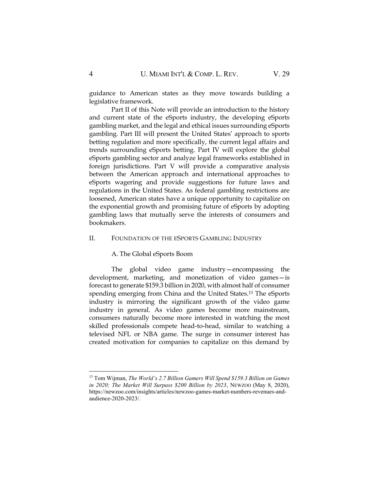guidance to American states as they move towards building a legislative framework.

Part II of this Note will provide an introduction to the history and current state of the eSports industry, the developing eSports gambling market, and the legal and ethical issues surrounding eSports gambling. Part III will present the United States' approach to sports betting regulation and more specifically, the current legal affairs and trends surrounding eSports betting. Part IV will explore the global eSports gambling sector and analyze legal frameworks established in foreign jurisdictions. Part V will provide a comparative analysis between the American approach and international approaches to eSports wagering and provide suggestions for future laws and regulations in the United States. As federal gambling restrictions are loosened, American states have a unique opportunity to capitalize on the exponential growth and promising future of eSports by adopting gambling laws that mutually serve the interests of consumers and bookmakers.

#### II. FOUNDATION OF THE ESPORTS GAMBLING INDUSTRY

A. The Global eSports Boom

The global video game industry—encompassing the development, marketing, and monetization of video games—is forecast to generate \$159.3 billion in 2020, with almost half of consumer spending emerging from China and the United States.<sup>13</sup> The eSports industry is mirroring the significant growth of the video game industry in general. As video games become more mainstream, consumers naturally become more interested in watching the most skilled professionals compete head-to-head, similar to watching a televised NFL or NBA game. The surge in consumer interest has created motivation for companies to capitalize on this demand by

<sup>13</sup> Tom Wijman, *The World's 2.7 Billion Gamers Will Spend \$159.3 Billion on Games in 2020; The Market Will Surpass \$200 Billion by 2023*, NEWZOO (May 8, 2020), https://newzoo.com/insights/articles/newzoo-games-market-numbers-revenues-andaudience-2020-2023/.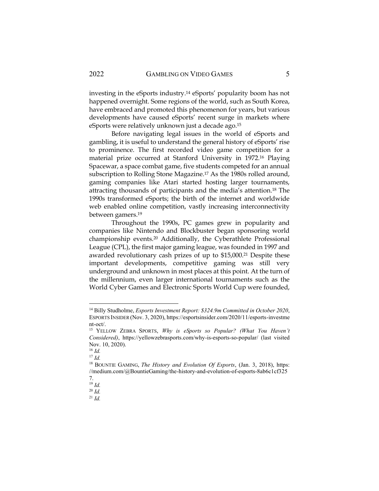investing in the eSports industry.<sup>14</sup> eSports' popularity boom has not happened overnight. Some regions of the world, such as South Korea, have embraced and promoted this phenomenon for years, but various developments have caused eSports' recent surge in markets where eSports were relatively unknown just a decade ago.<sup>15</sup>

Before navigating legal issues in the world of eSports and gambling, it is useful to understand the general history of eSports' rise to prominence. The first recorded video game competition for a material prize occurred at Stanford University in 1972.<sup>16</sup> Playing Spacewar, a space combat game, five students competed for an annual subscription to Rolling Stone Magazine.<sup>17</sup> As the 1980s rolled around, gaming companies like Atari started hosting larger tournaments, attracting thousands of participants and the media's attention.<sup>18</sup> The 1990s transformed eSports; the birth of the internet and worldwide web enabled online competition, vastly increasing interconnectivity between gamers.<sup>19</sup>

Throughout the 1990s, PC games grew in popularity and companies like Nintendo and Blockbuster began sponsoring world championship events.<sup>20</sup> Additionally, the Cyberathlete Professional League (CPL), the first major gaming league, was founded in 1997 and awarded revolutionary cash prizes of up to \$15,000.<sup>21</sup> Despite these important developments, competitive gaming was still very underground and unknown in most places at this point. At the turn of the millennium, even larger international tournaments such as the World Cyber Games and Electronic Sports World Cup were founded,

<sup>14</sup> Billy Studholme, *Esports Investment Report: \$324.9m Committed in October 2020*, ESPORTS INSIDER (Nov. 3, 2020), https://esportsinsider.com/2020/11/esports-investme nt-oct/.

<sup>15</sup> YELLOW ZEBRA SPORTS, *Why is eSports so Popular? (What You Haven't Considered)*, https://yellowzebrasports.com/why-is-esports-so-popular/ (last visited Nov. 10, 2020).

<sup>16</sup> *Id.*

<sup>17</sup> *Id.*

<sup>18</sup> BOUNTIE GAMING, *The History and Evolution Of Esports*, (Jan. 3, 2018), https: //medium.com/@BountieGaming/the-history-and-evolution-of-esports-8ab6c1cf325 7.

<sup>19</sup> *Id.*

<sup>20</sup> *Id.*

<sup>21</sup> *Id.*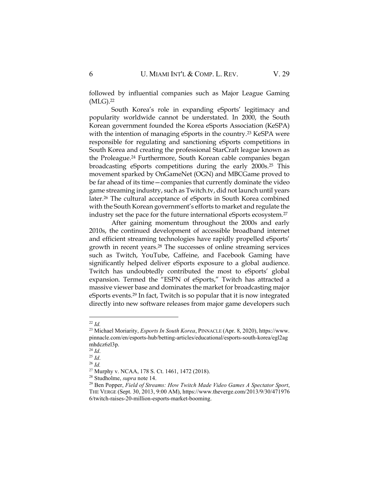followed by influential companies such as Major League Gaming (MLG).<sup>22</sup>

South Korea's role in expanding eSports' legitimacy and popularity worldwide cannot be understated. In 2000, the South Korean government founded the Korea eSports Association (KeSPA) with the intention of managing eSports in the country.<sup>23</sup> KeSPA were responsible for regulating and sanctioning eSports competitions in South Korea and creating the professional StarCraft league known as the Proleague.<sup>24</sup> Furthermore, South Korean cable companies began broadcasting eSports competitions during the early 2000s.<sup>25</sup> This movement sparked by OnGameNet (OGN) and MBCGame proved to be far ahead of its time—companies that currently dominate the video game streaming industry, such as Twitch.tv, did not launch until years later.<sup>26</sup> The cultural acceptance of eSports in South Korea combined with the South Korean government's efforts to market and regulate the industry set the pace for the future international eSports ecosystem.<sup>27</sup>

After gaining momentum throughout the 2000s and early 2010s, the continued development of accessible broadband internet and efficient streaming technologies have rapidly propelled eSports' growth in recent years.<sup>28</sup> The successes of online streaming services such as Twitch, YouTube, Caffeine, and Facebook Gaming have significantly helped deliver eSports exposure to a global audience. Twitch has undoubtedly contributed the most to eSports' global expansion. Termed the "ESPN of eSports," Twitch has attracted a massive viewer base and dominates the market for broadcasting major eSports events.<sup>29</sup> In fact, Twitch is so popular that it is now integrated directly into new software releases from major game developers such

<sup>22</sup> *Id.*

<sup>23</sup> Michael Moriarity, *Esports In South Korea*, PINNACLE (Apr. 8, 2020), https://www. pinnacle.com/en/esports-hub/betting-articles/educational/esports-south-korea/egl2ag mhdcz6zl3p.

<sup>24</sup> *Id*.

<sup>25</sup> *Id*.

<sup>26</sup> *Id.*

<sup>27</sup> Murphy v. NCAA, 178 S. Ct. 1461, 1472 (2018).

<sup>28</sup> Studholme, *supra* note 14.

<sup>29</sup> Ben Popper, *Field of Streams: How Twitch Made Video Games A Spectator Sport*, THE VERGE (Sept. 30, 2013, 9:00 AM), https://www.theverge.com/2013/9/30/471976 6/twitch-raises-20-million-esports-market-booming.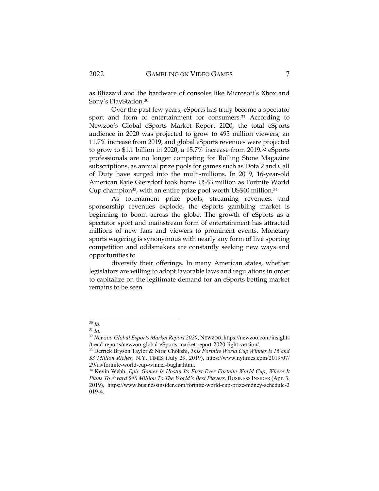as Blizzard and the hardware of consoles like Microsoft's Xbox and Sony's PlayStation.<sup>30</sup>

Over the past few years, eSports has truly become a spectator sport and form of entertainment for consumers.<sup>31</sup> According to Newzoo's Global eSports Market Report 2020, the total eSports audience in 2020 was projected to grow to 495 million viewers, an 11.7% increase from 2019, and global eSports revenues were projected to grow to \$1.1 billion in 2020, a 15.7% increase from 2019.<sup>32</sup> eSports professionals are no longer competing for Rolling Stone Magazine subscriptions, as annual prize pools for games such as Dota 2 and Call of Duty have surged into the multi-millions. In 2019, 16-year-old American Kyle Giersdorf took home US\$3 million as Fortnite World Cup champion<sup>33</sup>, with an entire prize pool worth US\$40 million.<sup>34</sup>

As tournament prize pools, streaming revenues, and sponsorship revenues explode, the eSports gambling market is beginning to boom across the globe. The growth of eSports as a spectator sport and mainstream form of entertainment has attracted millions of new fans and viewers to prominent events. Monetary sports wagering is synonymous with nearly any form of live sporting competition and oddsmakers are constantly seeking new ways and opportunities to

diversify their offerings. In many American states, whether legislators are willing to adopt favorable laws and regulations in order to capitalize on the legitimate demand for an eSports betting market remains to be seen.

<sup>30</sup> *Id.*

<sup>31</sup> *Id.*

<sup>32</sup> *Newzoo Global Esports Market Report 2020*, NEWZOO, https://newzoo.com/insights /trend-reports/newzoo-global-eSports-market-report-2020-light-version/.

<sup>33</sup> Derrick Bryson Taylor & Niraj Chokshi, *This Fortnite World Cup Winner is 16 and \$3 Million Richer*, N.Y. TIMES (July 29, 2019), https://www.nytimes.com/2019/07/ 29/us/fortnite-world-cup-winner-bugha.html.

<sup>34</sup> Kevin Webb, *Epic Games Is Hostin Its First-Ever Fortnite World Cup*, *Where It Plans To Award \$40 Million To The World's Best Players*, BUSINESS INSIDER (Apr. 3, 2019), https://www.businessinsider.com/fortnite-world-cup-prize-money-schedule-2 019-4.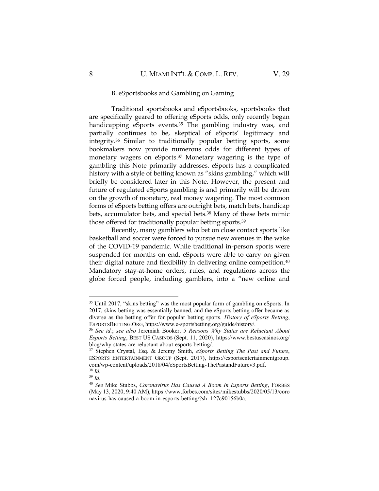Traditional sportsbooks and eSportsbooks, sportsbooks that are specifically geared to offering eSports odds, only recently began handicapping eSports events.<sup>35</sup> The gambling industry was, and partially continues to be, skeptical of eSports' legitimacy and integrity.<sup>36</sup> Similar to traditionally popular betting sports, some bookmakers now provide numerous odds for different types of monetary wagers on eSports. <sup>37</sup> Monetary wagering is the type of gambling this Note primarily addresses. eSports has a complicated history with a style of betting known as "skins gambling," which will briefly be considered later in this Note. However, the present and future of regulated eSports gambling is and primarily will be driven on the growth of monetary, real money wagering. The most common forms of eSports betting offers are outright bets, match bets, handicap bets, accumulator bets, and special bets.<sup>38</sup> Many of these bets mimic those offered for traditionally popular betting sports.<sup>39</sup>

Recently, many gamblers who bet on close contact sports like basketball and soccer were forced to pursue new avenues in the wake of the COVID-19 pandemic. While traditional in-person sports were suspended for months on end, eSports were able to carry on given their digital nature and flexibility in delivering online competition.<sup>40</sup> Mandatory stay-at-home orders, rules, and regulations across the globe forced people, including gamblers, into a "new online and

<sup>&</sup>lt;sup>35</sup> Until 2017, "skins betting" was the most popular form of gambling on eSports. In 2017, skins betting was essentially banned, and the eSports betting offer became as diverse as the betting offer for popular betting sports. *History of eSports Betting*, ESPORTSBETTING.ORG, https://www.e-sportsbetting.org/guide/history/.

<sup>36</sup> *See id.*; *see also* Jeremiah Booker, *5 Reasons Why States are Reluctant About Esports Betting*, BEST US CASINOS (Sept. 11, 2020), https://www.bestuscasinos.org/ blog/why-states-are-reluctant-about-esports-betting/.

<sup>37</sup> Stephen Crystal, Esq. & Jeremy Smith, *eSports Betting The Past and Future*, ESPORTS ENTERTAINMENT GROUP (Sept. 2017), https://esportsentertainmentgroup. com/wp-content/uploads/2018/04/eSportsBetting-ThePastandFuturev3.pdf. <sup>38</sup> *Id.*

<sup>39</sup> *Id.*

<sup>40</sup> *See* Mike Stubbs, *Coronavirus Has Caused A Boom In Esports Betting*, FORBES (May 13, 2020, 9:40 AM), https://www.forbes.com/sites/mikestubbs/2020/05/13/coro navirus-has-caused-a-boom-in-esports-betting/?sh=127c90156b0a.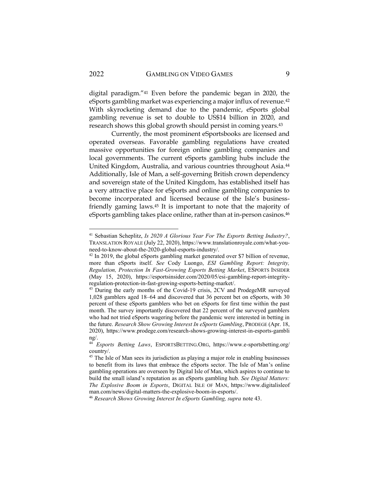digital paradigm."<sup>41</sup> Even before the pandemic began in 2020, the eSports gambling market was experiencing a major influx of revenue.<sup>42</sup> With skyrocketing demand due to the pandemic, eSports global gambling revenue is set to double to US\$14 billion in 2020, and research shows this global growth should persist in coming years.<sup>43</sup>

Currently, the most prominent eSportsbooks are licensed and operated overseas. Favorable gambling regulations have created massive opportunities for foreign online gambling companies and local governments. The current eSports gambling hubs include the United Kingdom, Australia, and various countries throughout Asia.<sup>44</sup> Additionally, Isle of Man, a self-governing British crown dependency and sovereign state of the United Kingdom, has established itself has a very attractive place for eSports and online gambling companies to become incorporated and licensed because of the Isle's businessfriendly gaming laws.<sup>45</sup> It is important to note that the majority of eSports gambling takes place online, rather than at in-person casinos.<sup>46</sup>

<sup>46</sup> *Research Shows Growing Interest In eSports Gambling, supra* note 43.

<sup>41</sup> Sebastian Scheplitz, *Is 2020 A Glorious Year For The Esports Betting Industry?*, TRANSLATION ROYALE (July 22, 2020), https://www.translationroyale.com/what-youneed-to-know-about-the-2020-global-esports-industry/.

<sup>&</sup>lt;sup>42</sup> In 2019, the global eSports gambling market generated over \$7 billion of revenue, more than eSports itself. *See* Cody Luongo, *ESI Gambling Report: Integrity, Regulation, Protection In Fast-Growing Esports Betting Market*, ESPORTS INSIDER (May 15, 2020), https://esportsinsider.com/2020/05/esi-gambling-report-integrityregulation-protection-in-fast-growing-esports-betting-market/.

<sup>&</sup>lt;sup>43</sup> During the early months of the Covid-19 crisis, 2CV and ProdegeMR surveyed 1,028 gamblers aged 18–64 and discovered that 36 percent bet on eSports, with 30 percent of these eSports gamblers who bet on eSports for first time within the past month. The survey importantly discovered that 22 percent of the surveyed gamblers who had not tried eSports wagering before the pandemic were interested in betting in the future. *Research Show Growing Interest In eSports Gambling*, PRODEGE (Apr. 18, 2020), https://www.prodege.com/research-shows-growing-interest-in-esports-gambli ng/.

<sup>44</sup> *Esports Betting Laws*, ESPORTSBETTING.ORG, https://www.e-sportsbetting.org/ country/.

<sup>&</sup>lt;sup>45</sup> The Isle of Man sees its jurisdiction as playing a major role in enabling businesses to benefit from its laws that embrace the eSports sector. The Isle of Man's online gambling operations are overseen by Digital Isle of Man, which aspires to continue to build the small island's reputation as an eSports gambling hub. *See Digital Matters: The Explosive Boom in Esports*, DIGITAL ISLE OF MAN, https://www.digitalisleof man.com/news/digital-matters-the-explosive-boom-in-esports/.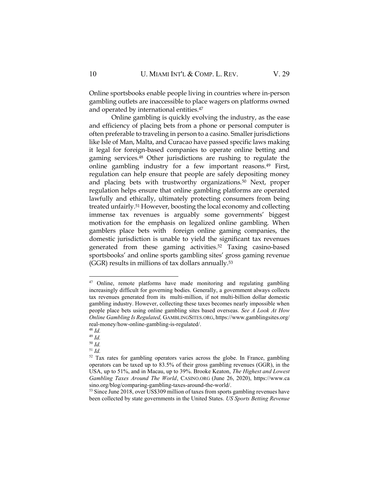Online sportsbooks enable people living in countries where in-person gambling outlets are inaccessible to place wagers on platforms owned and operated by international entities.<sup>47</sup>

Online gambling is quickly evolving the industry, as the ease and efficiency of placing bets from a phone or personal computer is often preferable to traveling in person to a casino. Smaller jurisdictions like Isle of Man, Malta, and Curacao have passed specific laws making it legal for foreign-based companies to operate online betting and gaming services.<sup>48</sup> Other jurisdictions are rushing to regulate the online gambling industry for a few important reasons.<sup>49</sup> First, regulation can help ensure that people are safely depositing money and placing bets with trustworthy organizations.<sup>50</sup> Next, proper regulation helps ensure that online gambling platforms are operated lawfully and ethically, ultimately protecting consumers from being treated unfairly.<sup>51</sup> However, boosting the local economy and collecting immense tax revenues is arguably some governments' biggest motivation for the emphasis on legalized online gambling. When gamblers place bets with foreign online gaming companies, the domestic jurisdiction is unable to yield the significant tax revenues generated from these gaming activities.<sup>52</sup> Taxing casino-based sportsbooks' and online sports gambling sites' gross gaming revenue (GGR) results in millions of tax dollars annually.<sup>53</sup>

<sup>&</sup>lt;sup>47</sup> Online, remote platforms have made monitoring and regulating gambling increasingly difficult for governing bodies. Generally, a government always collects tax revenues generated from its multi-million, if not multi-billion dollar domestic gambling industry. However, collecting these taxes becomes nearly impossible when people place bets using online gambling sites based overseas. *See A Look At How Online Gambling Is Regulated,* GAMBLINGSITES.ORG, https://www.gamblingsites.org/ real-money/how-online-gambling-is-regulated/.

<sup>48</sup> *Id.*

<sup>49</sup> *Id.*

<sup>50</sup> *Id.*

<sup>51</sup> *Id.*

<sup>52</sup> Tax rates for gambling operators varies across the globe. In France, gambling operators can be taxed up to 83.5% of their gross gambling revenues (GGR), in the USA, up to 51%, and in Macau, up to 39%. Brooke Keaton, *The Highest and Lowest Gambling Taxes Around The World*, CASINO.ORG (June 26, 2020), https://www.ca sino.org/blog/comparing-gambling-taxes-around-the-world/.

<sup>&</sup>lt;sup>53</sup> Since June 2018, over US\$309 million of taxes from sports gambling revenues have been collected by state governments in the United States. *US Sports Betting Revenue*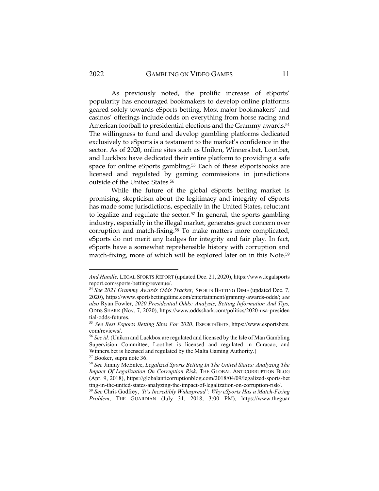As previously noted, the prolific increase of eSports' popularity has encouraged bookmakers to develop online platforms geared solely towards eSports betting. Most major bookmakers' and casinos' offerings include odds on everything from horse racing and American football to presidential elections and the Grammy awards.<sup>54</sup> The willingness to fund and develop gambling platforms dedicated exclusively to eSports is a testament to the market's confidence in the sector. As of 2020, online sites such as Unikrn, Winners.bet, Loot.bet, and Luckbox have dedicated their entire platform to providing a safe space for online eSports gambling.<sup>55</sup> Each of these eSportsbooks are licensed and regulated by gaming commissions in jurisdictions outside of the United States.<sup>56</sup>

While the future of the global eSports betting market is promising, skepticism about the legitimacy and integrity of eSports has made some jurisdictions, especially in the United States, reluctant to legalize and regulate the sector.<sup>57</sup> In general, the sports gambling industry, especially in the illegal market, generates great concern over corruption and match-fixing.<sup>58</sup> To make matters more complicated, eSports do not merit any badges for integrity and fair play. In fact, eSports have a somewhat reprehensible history with corruption and match-fixing, more of which will be explored later on in this Note.<sup>59</sup>

*And Handle,* LEGAL SPORTS REPORT (updated Dec. 21, 2020), https://www.legalsports report.com/sports-betting/revenue/.

<sup>54</sup> *See 2021 Grammy Awards Odds Tracker,* SPORTS BETTING DIME (updated Dec. 7, 2020), https://www.sportsbettingdime.com/entertainment/grammy-awards-odds/; *see also* Ryan Fowler, *2020 Presidential Odds: Analysis, Betting Information And Tips,*  ODDS SHARK (Nov. 7, 2020), https://www.oddsshark.com/politics/2020-usa-presiden tial-odds-futures.

<sup>55</sup> *See Best Esports Betting Sites For 2020*, ESPORTSBETS, https://www.esportsbets. com/reviews/.

<sup>56</sup> *See id.* (Unikrn and Luckbox are regulated and licensed by the Isle of Man Gambling Supervision Committee, Loot.bet is licensed and regulated in Curacao, and Winners.bet is licensed and regulated by the Malta Gaming Authority.) <sup>57</sup> Booker, supra note 36.

<sup>58</sup> *See* Jimmy McEntee, *Legalized Sports Betting In The United States: Analyzing The Impact Of Legalization On Corruption Risk*, THE GLOBAL ANTICORRUPTION BLOG (Apr. 9, 2018), https://globalanticorruptionblog.com/2018/04/09/legalized-sports-bet ting-in-the-united-states-analyzing-the-impact-of-legalization-on-corruption-risk/.

<sup>59</sup> *See* Chris Godfrey, *'It's Incredibly Widespread': Why eSports Has a Match-Fixing Problem*, THE GUARDIAN (July 31, 2018, 3:00 PM), https://www.theguar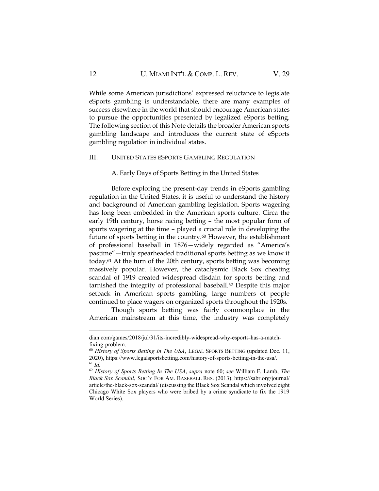While some American jurisdictions' expressed reluctance to legislate eSports gambling is understandable, there are many examples of success elsewhere in the world that should encourage American states to pursue the opportunities presented by legalized eSports betting. The following section of this Note details the broader American sports gambling landscape and introduces the current state of eSports gambling regulation in individual states.

#### III. UNITED STATES ESPORTS GAMBLING REGULATION

A. Early Days of Sports Betting in the United States

Before exploring the present-day trends in eSports gambling regulation in the United States, it is useful to understand the history and background of American gambling legislation. Sports wagering has long been embedded in the American sports culture. Circa the early 19th century, horse racing betting – the most popular form of sports wagering at the time – played a crucial role in developing the future of sports betting in the country.<sup>60</sup> However, the establishment of professional baseball in 1876—widely regarded as "America's pastime"—truly spearheaded traditional sports betting as we know it today.<sup>61</sup> At the turn of the 20th century, sports betting was becoming massively popular. However, the cataclysmic Black Sox cheating scandal of 1919 created widespread disdain for sports betting and tarnished the integrity of professional baseball.<sup>62</sup> Despite this major setback in American sports gambling, large numbers of people continued to place wagers on organized sports throughout the 1920s.

Though sports betting was fairly commonplace in the American mainstream at this time, the industry was completely

dian.com/games/2018/jul/31/its-incredibly-widespread-why-esports-has-a-matchfixing-problem.

<sup>60</sup> *History of Sports Betting In The USA*, LEGAL SPORTS BETTING (updated Dec. 11, 2020), https://www.legalsportsbetting.com/history-of-sports-betting-in-the-usa/. <sup>61</sup> *Id.*

<sup>62</sup> *History of Sports Betting In The USA*, *supra* note 60; *see* William F. Lamb, *The Black Sox Scandal*, SOC'Y FOR AM. BASEBALL RES. (2013), https://sabr.org/journal/ article/the-black-sox-scandal/ (discussing the Black Sox Scandal which involved eight Chicago White Sox players who were bribed by a crime syndicate to fix the 1919 World Series).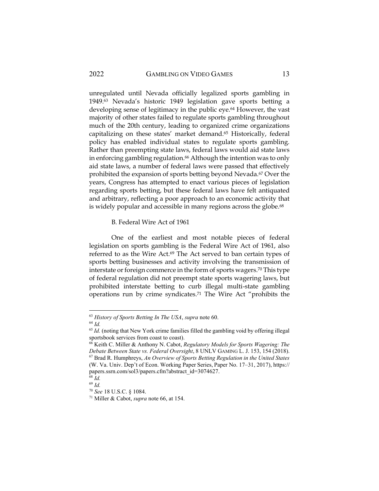unregulated until Nevada officially legalized sports gambling in 1949.<sup>63</sup> Nevada's historic 1949 legislation gave sports betting a developing sense of legitimacy in the public eye.<sup>64</sup> However, the vast majority of other states failed to regulate sports gambling throughout much of the 20th century, leading to organized crime organizations capitalizing on these states' market demand.<sup>65</sup> Historically, federal policy has enabled individual states to regulate sports gambling. Rather than preempting state laws, federal laws would aid state laws in enforcing gambling regulation.<sup>66</sup> Although the intention was to only aid state laws, a number of federal laws were passed that effectively prohibited the expansion of sports betting beyond Nevada.<sup>67</sup> Over the years, Congress has attempted to enact various pieces of legislation regarding sports betting, but these federal laws have felt antiquated and arbitrary, reflecting a poor approach to an economic activity that is widely popular and accessible in many regions across the globe.<sup>68</sup>

B. Federal Wire Act of 1961

One of the earliest and most notable pieces of federal legislation on sports gambling is the Federal Wire Act of 1961, also referred to as the Wire Act.<sup>69</sup> The Act served to ban certain types of sports betting businesses and activity involving the transmission of interstate or foreign commerce in the form of sports wagers.<sup>70</sup> This type of federal regulation did not preempt state sports wagering laws, but prohibited interstate betting to curb illegal multi-state gambling operations run by crime syndicates.<sup>71</sup> The Wire Act "prohibits the

<sup>63</sup> *History of Sports Betting In The USA*, *supra* note 60.

<sup>64</sup> *Id.*

<sup>&</sup>lt;sup>65</sup> *Id.* (noting that New York crime families filled the gambling void by offering illegal sportsbook services from coast to coast).

<sup>66</sup> Keith C. Miller & Anthony N. Cabot, *Regulatory Models for Sports Wagering: The Debate Between State vs. Federal Oversight*, 8 UNLV GAMING L. J. 153, 154 (2018). <sup>67</sup> Brad R. Humphreys, *An Overview of Sports Betting Regulation in the United States* (W. Va. Univ. Dep't of Econ. Working Paper Series, Paper No. 17–31, 2017), https:// papers.ssrn.com/sol3/papers.cfm?abstract\_id=3074627.

<sup>68</sup> *Id.* <sup>69</sup> *Id.*

<sup>70</sup> *See* 18 U.S.C. § 1084.

<sup>71</sup> Miller & Cabot, *supra* note 66, at 154.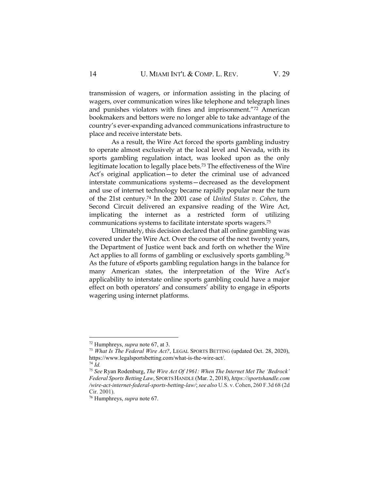transmission of wagers, or information assisting in the placing of wagers, over communication wires like telephone and telegraph lines and punishes violators with fines and imprisonment."<sup>72</sup> American bookmakers and bettors were no longer able to take advantage of the country's ever-expanding advanced communications infrastructure to place and receive interstate bets.

As a result, the Wire Act forced the sports gambling industry to operate almost exclusively at the local level and Nevada, with its sports gambling regulation intact, was looked upon as the only legitimate location to legally place bets.<sup>73</sup> The effectiveness of the Wire Act's original application—to deter the criminal use of advanced interstate communications systems—decreased as the development and use of internet technology became rapidly popular near the turn of the 21st century.<sup>74</sup> In the 2001 case of *United States v. Cohen*, the Second Circuit delivered an expansive reading of the Wire Act, implicating the internet as a restricted form of utilizing communications systems to facilitate interstate sports wagers.<sup>75</sup>

Ultimately, this decision declared that all online gambling was covered under the Wire Act. Over the course of the next twenty years, the Department of Justice went back and forth on whether the Wire Act applies to all forms of gambling or exclusively sports gambling.<sup>76</sup> As the future of eSports gambling regulation hangs in the balance for many American states, the interpretation of the Wire Act's applicability to interstate online sports gambling could have a major effect on both operators' and consumers' ability to engage in eSports wagering using internet platforms.

<sup>72</sup> Humphreys, *supra* note 67, at 3.

<sup>73</sup> *What Is The Federal Wire Act?*, LEGAL SPORTS BETTING (updated Oct. 28, 2020), https://www.legalsportsbetting.com/what-is-the-wire-act/.

<sup>74</sup> *Id.*

<sup>75</sup> *See* Ryan Rodenburg, *The Wire Act Of 1961: When The Internet Met The 'Bedrock' Federal Sports Betting Law*, SPORTS HANDLE (Mar. 2, 2018), *https://sportshandle.com /wire-act-internet-federal-sports-betting-law/*; *see also* U.S. v. Cohen, 260 F.3d 68 (2d Cir. 2001).

<sup>76</sup> Humphreys, *supra* note 67.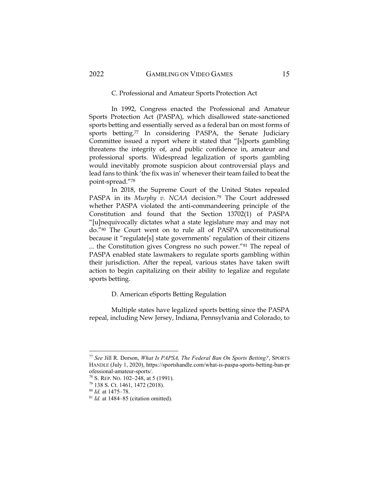#### C. Professional and Amateur Sports Protection Act

In 1992, Congress enacted the Professional and Amateur Sports Protection Act (PASPA), which disallowed state-sanctioned sports betting and essentially served as a federal ban on most forms of sports betting.<sup>77</sup> In considering PASPA, the Senate Judiciary Committee issued a report where it stated that "[s]ports gambling threatens the integrity of, and public confidence in, amateur and professional sports. Widespread legalization of sports gambling would inevitably promote suspicion about controversial plays and lead fans to think 'the fix was in' whenever their team failed to beat the point-spread."<sup>78</sup>

In 2018, the Supreme Court of the United States repealed PASPA in its *Murphy v. NCAA* decision.<sup>79</sup> The Court addressed whether PASPA violated the anti-commandeering principle of the Constitution and found that the Section 13702(1) of PASPA "[u]nequivocally dictates what a state legislature may and may not do."<sup>80</sup> The Court went on to rule all of PASPA unconstitutional because it "regulate[s] state governments' regulation of their citizens ... the Constitution gives Congress no such power."<sup>81</sup> The repeal of PASPA enabled state lawmakers to regulate sports gambling within their jurisdiction. After the repeal, various states have taken swift action to begin capitalizing on their ability to legalize and regulate sports betting.

#### D. American eSports Betting Regulation

Multiple states have legalized sports betting since the PASPA repeal, including New Jersey, Indiana, Pennsylvania and Colorado, to

<sup>77</sup> *See* Jill R. Dorson, *What Is PAPSA, The Federal Ban On Sports Betting?*, SPORTS HANDLE (July 1, 2020), https://sportshandle.com/what-is-paspa-sports-betting-ban-pr ofessional-amateur-sports/.

<sup>78</sup> S. REP. NO. 102–248, at 5 (1991).

<sup>79</sup> 138 S. Ct. 1461, 1472 (2018).

<sup>80</sup> *Id.* at 1475–78.

<sup>81</sup> *Id.* at 1484–85 (citation omitted).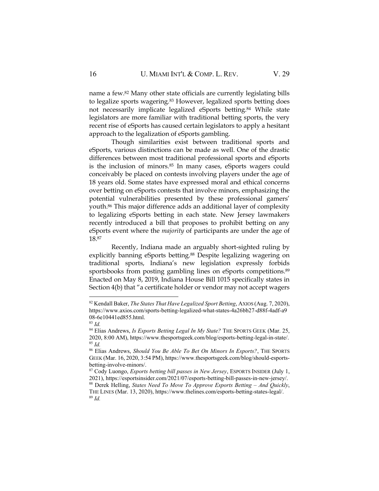name a few.<sup>82</sup> Many other state officials are currently legislating bills to legalize sports wagering.<sup>83</sup> However, legalized sports betting does not necessarily implicate legalized eSports betting.<sup>84</sup> While state legislators are more familiar with traditional betting sports, the very recent rise of eSports has caused certain legislators to apply a hesitant approach to the legalization of eSports gambling.

Though similarities exist between traditional sports and eSports, various distinctions can be made as well. One of the drastic differences between most traditional professional sports and eSports is the inclusion of minors.<sup>85</sup> In many cases, eSports wagers could conceivably be placed on contests involving players under the age of 18 years old. Some states have expressed moral and ethical concerns over betting on eSports contests that involve minors, emphasizing the potential vulnerabilities presented by these professional gamers' youth.<sup>86</sup> This major difference adds an additional layer of complexity to legalizing eSports betting in each state. New Jersey lawmakers recently introduced a bill that proposes to prohibit betting on any eSports event where the *majority* of participants are under the age of 18.<sup>87</sup>

Recently, Indiana made an arguably short-sighted ruling by explicitly banning eSports betting.<sup>88</sup> Despite legalizing wagering on traditional sports, Indiana's new legislation expressly forbids sportsbooks from posting gambling lines on eSports competitions.<sup>89</sup> Enacted on May 8, 2019, Indiana House Bill 1015 specifically states in Section 4(b) that "a certificate holder or vendor may not accept wagers

<sup>82</sup> Kendall Baker, *The States That Have Legalized Sport Betting*, AXIOS (Aug. 7, 2020), https://www.axios.com/sports-betting-legalized-what-states-4a26bb27-d88f-4adf-a9 08-6e10441ed855.html.

<sup>83</sup> *Id.*

<sup>84</sup> Elias Andrews, *Is Esports Betting Legal In My State?* THE SPORTS GEEK (Mar. 25, 2020, 8:00 AM), https://www.thesportsgeek.com/blog/esports-betting-legal-in-state/. <sup>85</sup> *Id.*

<sup>86</sup> Elias Andrews, *Should You Be Able To Bet On Minors In Esports?*, THE SPORTS GEEK (Mar. 16, 2020, 3:54 PM), https://www.thesportsgeek.com/blog/should-esportsbetting-involve-minors/.

<sup>87</sup> Cody Luongo, *Esports betting bill passes in New Jersey*, ESPORTS INSIDER (July 1, 2021), https://esportsinsider.com/2021/07/esports-betting-bill-passes-in-new-jersey/.

<sup>88</sup> Derek Helling, *States Need To Move To Approve Esports Betting - And Quickly*, THE LINES (Mar. 13, 2020), https://www.thelines.com/esports-betting-states-legal/. <sup>89</sup> *Id.*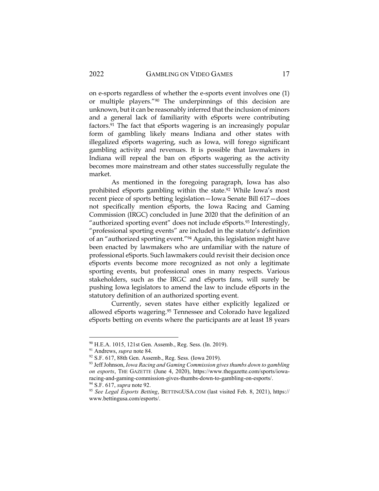on e-sports regardless of whether the e-sports event involves one (1) or multiple players."<sup>90</sup> The underpinnings of this decision are unknown, but it can be reasonably inferred that the inclusion of minors and a general lack of familiarity with eSports were contributing factors.<sup>91</sup> The fact that eSports wagering is an increasingly popular form of gambling likely means Indiana and other states with illegalized eSports wagering, such as Iowa, will forego significant gambling activity and revenues. It is possible that lawmakers in Indiana will repeal the ban on eSports wagering as the activity becomes more mainstream and other states successfully regulate the market.

As mentioned in the foregoing paragraph, Iowa has also prohibited eSports gambling within the state.<sup>92</sup> While Iowa's most recent piece of sports betting legislation—Iowa Senate Bill 617—does not specifically mention eSports, the Iowa Racing and Gaming Commission (IRGC) concluded in June 2020 that the definition of an "authorized sporting event" does not include eSports.<sup>93</sup> Interestingly, "professional sporting events" are included in the statute's definition of an "authorized sporting event."<sup>94</sup> Again, this legislation might have been enacted by lawmakers who are unfamiliar with the nature of professional eSports. Such lawmakers could revisit their decision once eSports events become more recognized as not only a legitimate sporting events, but professional ones in many respects. Various stakeholders, such as the IRGC and eSports fans, will surely be pushing Iowa legislators to amend the law to include eSports in the statutory definition of an authorized sporting event.

Currently, seven states have either explicitly legalized or allowed eSports wagering.<sup>95</sup> Tennessee and Colorado have legalized eSports betting on events where the participants are at least 18 years

<sup>90</sup> H.E.A. 1015, 121st Gen. Assemb., Reg. Sess. (In. 2019).

<sup>91</sup> Andrews, *supra* note 84.

<sup>92</sup> S.F. 617, 88th Gen. Assemb., Reg. Sess. (Iowa 2019).

<sup>93</sup> Jeff Johnson, *Iowa Racing and Gaming Commission gives thumbs down to gambling on esports*, THE GAZETTE (June 4, 2020), https://www.thegazette.com/sports/iowaracing-and-gaming-commission-gives-thumbs-down-to-gambling-on-esports/.

<sup>94</sup> S.F. 617, *supra* note 92.

<sup>95</sup> *See Legal Esports Betting*, BETTINGUSA.COM (last visited Feb. 8, 2021), https:// www.bettingusa.com/esports/.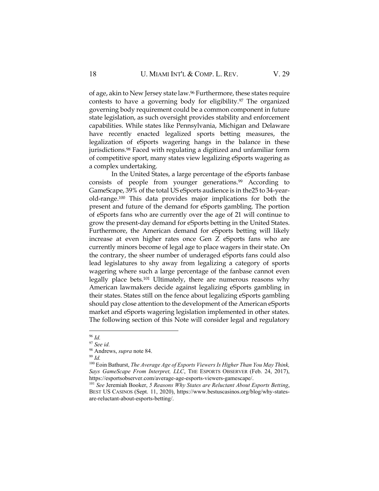of age, akin to New Jersey state law.<sup>96</sup> Furthermore, these states require contests to have a governing body for eligibility.<sup>97</sup> The organized governing body requirement could be a common component in future state legislation, as such oversight provides stability and enforcement capabilities. While states like Pennsylvania, Michigan and Delaware have recently enacted legalized sports betting measures, the legalization of eSports wagering hangs in the balance in these jurisdictions.<sup>98</sup> Faced with regulating a digitized and unfamiliar form of competitive sport, many states view legalizing eSports wagering as a complex undertaking.

In the United States, a large percentage of the eSports fanbase consists of people from younger generations.<sup>99</sup> According to GameScape, 39% of the total US eSports audience is in the25 to 34-yearold-range.<sup>100</sup> This data provides major implications for both the present and future of the demand for eSports gambling. The portion of eSports fans who are currently over the age of 21 will continue to grow the present-day demand for eSports betting in the United States. Furthermore, the American demand for eSports betting will likely increase at even higher rates once Gen Z eSports fans who are currently minors become of legal age to place wagers in their state. On the contrary, the sheer number of underaged eSports fans could also lead legislatures to shy away from legalizing a category of sports wagering where such a large percentage of the fanbase cannot even legally place bets.<sup>101</sup> Ultimately, there are numerous reasons why American lawmakers decide against legalizing eSports gambling in their states. States still on the fence about legalizing eSports gambling should pay close attention to the development of the American eSports market and eSports wagering legislation implemented in other states. The following section of this Note will consider legal and regulatory

<sup>96</sup> *Id.*

<sup>97</sup> *See id.*

<sup>98</sup> Andrews, *supra* note 84.

<sup>99</sup> *Id.*

<sup>100</sup> Eoin Bathurst, *The Average Age of Esports Viewers Is Higher Than You May Think, Says GameScape From Interpret, LLC*, THE ESPORTS OBSERVER (Feb. 24, 2017), https://esportsobserver.com/average-age-esports-viewers-gamescape/.

<sup>101</sup> *See* Jeremiah Booker, *5 Reasons Why States are Reluctant About Esports Betting*, BEST US CASINOS (Sept. 11, 2020), https://www.bestuscasinos.org/blog/why-statesare-reluctant-about-esports-betting/.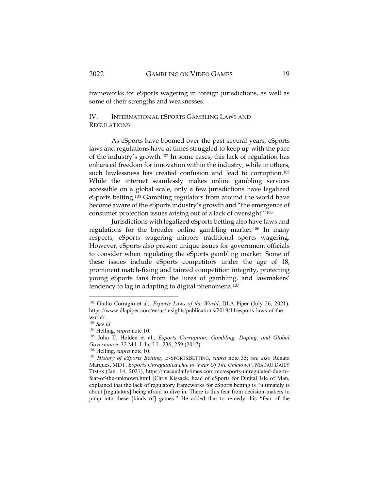frameworks for eSports wagering in foreign jurisdictions, as well as some of their strengths and weaknesses.

# IV. INTERNATIONAL ESPORTS GAMBLING LAWS AND **REGULATIONS**

As eSports have boomed over the past several years, eSports laws and regulations have at times struggled to keep up with the pace of the industry's growth.<sup>102</sup> In some cases, this lack of regulation has enhanced freedom for innovation within the industry, while in others, such lawlessness has created confusion and lead to corruption.<sup>103</sup> While the internet seamlessly makes online gambling services accessible on a global scale, only a few jurisdictions have legalized eSports betting.<sup>104</sup> Gambling regulators from around the world have become aware of the eSports industry's growth and "the emergence of consumer protection issues arising out of a lack of oversight."<sup>105</sup>

Jurisdictions with legalized eSports betting also have laws and regulations for the broader online gambling market.<sup>106</sup> In many respects, eSports wagering mirrors traditional sports wagering. However, eSports also present unique issues for government officials to consider when regulating the eSports gambling market. Some of these issues include eSports competitors under the age of 18, prominent match-fixing and tainted competition integrity, protecting young eSports fans from the lures of gambling, and lawmakers' tendency to lag in adapting to digital phenomena.<sup>107</sup>

<sup>102</sup> Giulio Corragio et al., *Esports Laws of the World*, DLA Piper (July 26, 2021), https://www.dlapiper.com/en/us/insights/publications/2019/11/esports-laws-of-theworld/.

<sup>103</sup> *See id.*

<sup>104</sup> Helling, *supra* note 10.

<sup>105</sup> John T. Holden et al., *Esports Corruption: Gambling, Doping, and Global Governanc*e, 32 Md. J. Int'l L. 236, 259 (2017).

<sup>106</sup> Helling, *supra* note 10.

<sup>107</sup> *History of eSports Betting*, E-SPORTSBETTING, *supra* note 35; *see also* Renato Marques, MDT, *Esports Unregulated Due to 'Fear Of The Unknown*', MACAU DAILY TIMES (Jan. 14, 2021), https://macaudailytimes.com.mo/esports-unregulated-due-tofear-of-the-unknown.html (Chris Kissack, head of eSports for Digital Isle of Man, explained that the lack of regulatory frameworks for eSports betting is "ultimately is about [regulators] being afraid to dive in. There is this fear from decision-makers to jump into these [kinds of] games." He added that to remedy this "fear of the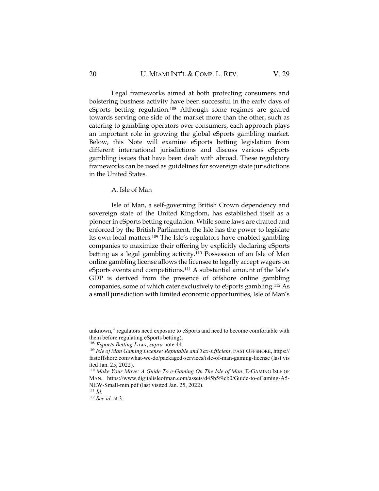### 20 **U. MIAMI INT'L & COMP. L. REV.** V. 29

Legal frameworks aimed at both protecting consumers and bolstering business activity have been successful in the early days of eSports betting regulation.<sup>108</sup> Although some regimes are geared towards serving one side of the market more than the other, such as catering to gambling operators over consumers, each approach plays an important role in growing the global eSports gambling market. Below, this Note will examine eSports betting legislation from different international jurisdictions and discuss various eSports gambling issues that have been dealt with abroad. These regulatory frameworks can be used as guidelines for sovereign state jurisdictions in the United States.

#### A. Isle of Man

Isle of Man, a self-governing British Crown dependency and sovereign state of the United Kingdom, has established itself as a pioneer in eSports betting regulation. While some laws are drafted and enforced by the British Parliament, the Isle has the power to legislate its own local matters.<sup>109</sup> The Isle's regulators have enabled gambling companies to maximize their offering by explicitly declaring eSports betting as a legal gambling activity.<sup>110</sup> Possession of an Isle of Man online gambling license allows the licensee to legally accept wagers on eSports events and competitions.<sup>111</sup> A substantial amount of the Isle's GDP is derived from the presence of offshore online gambling companies, some of which cater exclusively to eSports gambling.<sup>112</sup> As a small jurisdiction with limited economic opportunities, Isle of Man's

unknown," regulators need exposure to eSports and need to become comfortable with them before regulating eSports betting).

<sup>108</sup> *Esports Betting Laws*, *supra* note 44.

<sup>109</sup> *Isle of Man Gaming License: Reputable and Tax-Efficient*, FAST OFFSHORE, https:// fastoffshore.com/what-we-do/packaged-services/isle-of-man-gaming-license (last vis ited Jan. 25, 2022).

<sup>110</sup> *Make Your Move: A Guide To e-Gaming On The Isle of Man*, E-GAMING ISLE OF MAN, https://www.digitalisleofman.com/assets/d45b5f4cb0/Guide-to-eGaming-A5- NEW-Small-min.pdf (last visited Jan. 25, 2022). <sup>111</sup> *Id.*

<sup>112</sup> *See id*. at 3.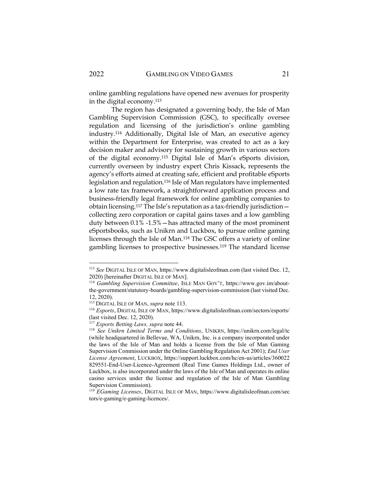online gambling regulations have opened new avenues for prosperity in the digital economy.<sup>113</sup>

The region has designated a governing body, the Isle of Man Gambling Supervision Commission (GSC), to specifically oversee regulation and licensing of the jurisdiction's online gambling industry.<sup>114</sup> Additionally, Digital Isle of Man, an executive agency within the Department for Enterprise, was created to act as a key decision maker and advisory for sustaining growth in various sectors of the digital economy.<sup>115</sup> Digital Isle of Man's eSports division, currently overseen by industry expert Chris Kissack, represents the agency's efforts aimed at creating safe, efficient and profitable eSports legislation and regulation.<sup>116</sup> Isle of Man regulators have implemented a low rate tax framework, a straightforward application process and business-friendly legal framework for online gambling companies to obtain licensing.<sup>117</sup> The Isle's reputation as a tax-friendly jurisdiction collecting zero corporation or capital gains taxes and a low gambling duty between 0.1% -1.5%—has attracted many of the most prominent eSportsbooks, such as Unikrn and Luckbox, to pursue online gaming licenses through the Isle of Man.<sup>118</sup> The GSC offers a variety of online gambling licenses to prospective businesses.<sup>119</sup> The standard license

<sup>113</sup> *See* DIGITAL ISLE OF MAN, https://www.digitalisleofman.com (last visited Dec. 12, 2020) [hereinafter DIGITAL ISLE OF MAN].

<sup>114</sup> *Gambling Supervision Committee*, ISLE MAN GOV'T, https://www.gov.im/aboutthe-government/statutory-boards/gambling-supervision-commission (last visited Dec. 12, 2020).

<sup>115</sup> DIGITAL ISLE OF MAN, *supra* note 113.

<sup>116</sup> *Esports*, DIGITAL ISLE OF MAN, https://www.digitalisleofman.com/sectors/esports/ (last visited Dec. 12, 2020).

<sup>117</sup> *Esports Betting Laws, supra* note 44.

<sup>118</sup> *See Unikrn Limited Terms and Conditions*, UNIKRN, https://unikrn.com/legal/tc (while headquartered in Bellevue, WA, Unikrn, Inc. is a company incorporated under the laws of the Isle of Man and holds a license from the Isle of Man Gaming Supervision Commission under the Online Gambling Regulation Act 2001); *End User License Agreement*, LUCKBOX, https://support.luckbox.com/hc/en-us/articles/360022 829551-End-User-Licence-Agreement (Real Time Games Holdings Ltd., owner of Luckbox, is also incorporated under the laws of the Isle of Man and operates its online casino services under the license and regulation of the Isle of Man Gambling Supervision Commission).

<sup>119</sup> *EGaming Licenses*, DIGITAL ISLE OF MAN, https://www.digitalisleofman.com/sec tors/e-gaming/e-gaming-licences/.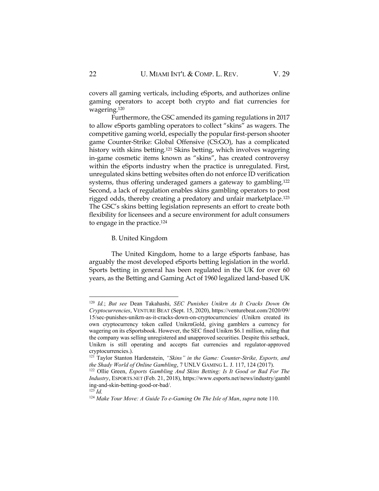covers all gaming verticals, including eSports, and authorizes online gaming operators to accept both crypto and fiat currencies for wagering.<sup>120</sup>

Furthermore, the GSC amended its gaming regulations in 2017 to allow eSports gambling operators to collect "skins" as wagers. The competitive gaming world, especially the popular first-person shooter game Counter-Strike: Global Offensive (CS:GO), has a complicated history with skins betting.<sup>121</sup> Skins betting, which involves wagering in-game cosmetic items known as "skins", has created controversy within the eSports industry when the practice is unregulated. First, unregulated skins betting websites often do not enforce ID verification systems, thus offering underaged gamers a gateway to gambling.<sup>122</sup> Second, a lack of regulation enables skins gambling operators to post rigged odds, thereby creating a predatory and unfair marketplace.<sup>123</sup> The GSC's skins betting legislation represents an effort to create both flexibility for licensees and a secure environment for adult consumers to engage in the practice.<sup>124</sup>

#### B. United Kingdom

The United Kingdom, home to a large eSports fanbase, has arguably the most developed eSports betting legislation in the world. Sports betting in general has been regulated in the UK for over 60 years, as the Betting and Gaming Act of 1960 legalized land-based UK

<sup>120</sup> *Id.*; *But see* Dean Takahashi, *SEC Punishes Unikrn As It Cracks Down On Cryptocurrencies*, VENTURE BEAT (Sept. 15, 2020), https://venturebeat.com/2020/09/ 15/sec-punishes-unikrn-as-it-cracks-down-on-cryptocurrencies/ (Unikrn created its own cryptocurrency token called UnikrnGold, giving gamblers a currency for wagering on its eSportsbook. However, the SEC fined Unikrn \$6.1 million, ruling that the company was selling unregistered and unapproved securities. Despite this setback, Unikrn is still operating and accepts fiat currencies and regulator-approved cryptocurrencies.).

<sup>121</sup> Taylor Stanton Hardenstein, *"Skins" in the Game: Counter-Strike, Esports, and the Shady World of Online Gambling*, 7 UNLV GAMING L. J. 117, 124 (2017).

<sup>&</sup>lt;sup>122</sup> Ollie Green, *Esports Gambling And Skins Betting: Is It Good or Bad For The Industry*, ESPORTS.NET (Feb. 21, 2018), https://www.esports.net/news/industry/gambl ing-and-skin-betting-good-or-bad/.

 $^{123}$  *Id.* 

<sup>124</sup> *Make Your Move: A Guide To e-Gaming On The Isle of Man*, *supra* note 110.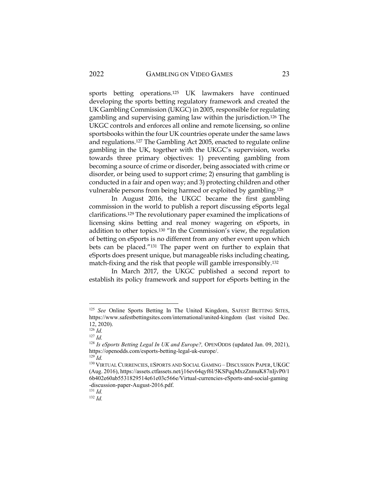sports betting operations.<sup>125</sup> UK lawmakers have continued developing the sports betting regulatory framework and created the UK Gambling Commission (UKGC) in 2005, responsible for regulating gambling and supervising gaming law within the jurisdiction.<sup>126</sup> The UKGC controls and enforces all online and remote licensing, so online sportsbooks within the four UK countries operate under the same laws and regulations.<sup>127</sup> The Gambling Act 2005, enacted to regulate online gambling in the UK, together with the UKGC's supervision, works towards three primary objectives: 1) preventing gambling from becoming a source of crime or disorder, being associated with crime or disorder, or being used to support crime; 2) ensuring that gambling is conducted in a fair and open way; and 3) protecting children and other vulnerable persons from being harmed or exploited by gambling.<sup>128</sup>

In August 2016, the UKGC became the first gambling commission in the world to publish a report discussing eSports legal clarifications.<sup>129</sup> The revolutionary paper examined the implications of licensing skins betting and real money wagering on eSports, in addition to other topics.<sup>130</sup> "In the Commission's view, the regulation of betting on eSports is no different from any other event upon which bets can be placed."<sup>131</sup> The paper went on further to explain that eSports does present unique, but manageable risks including cheating, match-fixing and the risk that people will gamble irresponsibly.<sup>132</sup>

In March 2017, the UKGC published a second report to establish its policy framework and support for eSports betting in the

<sup>&</sup>lt;sup>125</sup> See Online Sports Betting In The United Kingdom, SAFEST BETTING SITES, https://www.safestbettingsites.com/international/united-kingdom (last visited Dec. 12, 2020).

 $^{126}$  *Id.* 

<sup>127</sup> *Id.*

<sup>128</sup> *Is eSports Betting Legal In UK and Europe?,* OPENODDS (updated Jan. 09, 2021), https://openodds.com/esports-betting-legal-uk-europe/.

 $129$  *Id.* 

<sup>130</sup> VIRTUAL CURRENCIES, ESPORTS AND SOCIAL GAMING – DISCUSSION PAPER, UKGC (Aug. 2016), https://assets.ctfassets.net/j16ev64qyf6l/5KSPqqMxzZnmuK87nIjvP0/1 6b402e60ab5531829514e61e03c566e/Virtual-currencies-eSports-and-social-gaming -discussion-paper-August-2016.pdf.

<sup>131</sup> *Id.*

<sup>132</sup> *Id.*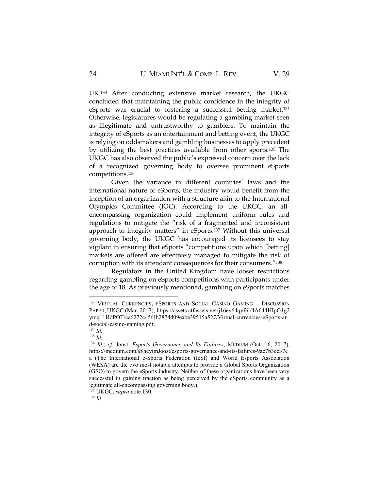UK.<sup>133</sup> After conducting extensive market research, the UKGC concluded that maintaining the public confidence in the integrity of eSports was crucial to fostering a successful betting market. 134 Otherwise, legislatures would be regulating a gambling market seen as illegitimate and untrustworthy to gamblers. To maintain the integrity of eSports as an entertainment and betting event, the UKGC is relying on oddsmakers and gambling businesses to apply precedent by utilizing the best practices available from other sports.<sup>135</sup> The UKGC has also observed the public's expressed concern over the lack of a recognized governing body to oversee prominent eSports competitions.<sup>136</sup>

Given the variance in different countries' laws and the international nature of eSports, the industry would benefit from the inception of an organization with a structure akin to the International Olympics Committee (IOC). According to the UKGC, an allencompassing organization could implement uniform rules and regulations to mitigate the "risk of a fragmented and inconsistent approach to integrity matters" in eSports.<sup>137</sup> Without this universal governing body, the UKGC has encouraged its licensees to stay vigilant in ensuring that eSports "competitions upon which [betting] markets are offered are effectively managed to mitigate the risk of corruption with its attendant consequences for their consumers."<sup>138</sup>

Regulators in the United Kingdom have looser restrictions regarding gambling on eSports competitions with participants under the age of 18. As previously mentioned, gambling on eSports matches

<sup>&</sup>lt;sup>133</sup> VIRTUAL CURRENCIES, ESPORTS AND SOCIAL CASINO GAMING - DISCUSSION PAPER, UKGC (Mar. 2017), https://assets.ctfassets.net/j16ev64qyf6l/4A644HIpG1g2 ymq11HdPOT/ca6272c45f1b2874d09eabe39515a527/Virtual-currencies-eSports-an d-social-casino-gaming.pdf.

<sup>134</sup> *Id.*

<sup>135</sup> *Id.*

<sup>136</sup> *Id.*; *cf.* Joost, *Esports Governance and Its Failures*, MEDIUM (Oct. 16, 2017), https://medium.com/@heyimJoost/esports-governance-and-its-failures-9ac7b3ec37e a (The International e-Sports Federation (IeSf) and World Esports Association (WESA) are the two most notable attempts to provide a Global Sports Organization (GSO) to govern the eSports industry. Neither of these organizations have been very successful in gaining traction as being perceived by the eSports community as a legitimate all-encompassing governing body.).

<sup>137</sup> UKGC, *supra* note 130.

<sup>138</sup> *Id.*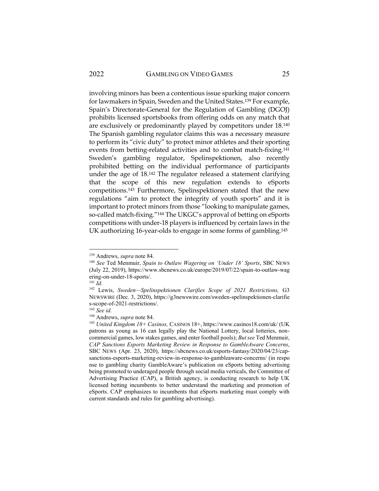involving minors has been a contentious issue sparking major concern for lawmakers in Spain, Sweden and the United States.<sup>139</sup> For example, Spain's Directorate-General for the Regulation of Gambling (DGOJ) prohibits licensed sportsbooks from offering odds on any match that are exclusively or predominantly played by competitors under 18.<sup>140</sup> The Spanish gambling regulator claims this was a necessary measure to perform its "civic duty" to protect minor athletes and their sporting events from betting-related activities and to combat match-fixing.<sup>141</sup> Sweden's gambling regulator, Spelinspektionen, also recently prohibited betting on the individual performance of participants under the age of 18.<sup>142</sup> The regulator released a statement clarifying that the scope of this new regulation extends to eSports competitions.<sup>143</sup> Furthermore, Spelinspektionen stated that the new regulations "aim to protect the integrity of youth sports" and it is important to protect minors from those "looking to manipulate games, so-called match-fixing."<sup>144</sup> The UKGC's approval of betting on eSports competitions with under-18 players is influenced by certain laws in the UK authorizing 16-year-olds to engage in some forms of gambling.<sup>145</sup>

<sup>139</sup> Andrews, *supra* note 84.

<sup>140</sup> *See* Ted Menmuir, *Spain to Outlaw Wagering on 'Under 18' Sports*, SBC NEWS (July 22, 2019), https://www.sbcnews.co.uk/europe/2019/07/22/spain-to-outlaw-wag ering-on-under-18-sports/.

<sup>141</sup> *Id.*

<sup>142</sup> Lewis, *Sweden—Spelinspektionen Clarifies Scope of 2021 Restrictions,* G3 NEWSWIRE (Dec. 3, 2020), https://g3newswire.com/sweden-spelinspektionen-clarifie s-scope-of-2021-restrictions/.

<sup>143</sup> *See id.*

<sup>144</sup> Andrews, *supra* note 84.

<sup>145</sup> *United Kingdom 18+ Casinos,* CASINOS 18+, https://www.casinos18.com/uk/ (UK patrons as young as 16 can legally play the National Lottery, local lotteries, noncommercial games, low stakes games, and enter football pools); *But see* Ted Menmuir, *CAP Sanctions Esports Marketing Review in Response to GambleAware Concerns*, SBC NEWS (Apr. 23, 2020), https://sbcnews.co.uk/esports-fantasy/2020/04/23/capsanctions-esports-marketing-review-in-response-to-gambleaware-concerns/ (in respo nse to gambling charity GambleAware's publication on eSports betting advertising being promoted to underaged people through social media verticals, the Committee of Advertising Practice (CAP), a British agency, is conducting research to help UK licensed betting incumbents to better understand the marketing and promotion of eSports. CAP emphasizes to incumbents that eSports marketing must comply with current standards and rules for gambling advertising).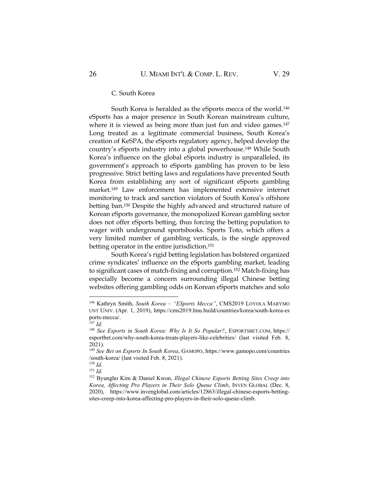#### C. South Korea

South Korea is heralded as the eSports mecca of the world.<sup>146</sup> eSports has a major presence in South Korean mainstream culture, where it is viewed as being more than just fun and video games.<sup>147</sup> Long treated as a legitimate commercial business, South Korea's creation of KeSPA, the eSports regulatory agency, helped develop the country's eSports industry into a global powerhouse.<sup>148</sup> While South Korea's influence on the global eSports industry is unparalleled, its government's approach to eSports gambling has proven to be less progressive. Strict betting laws and regulations have prevented South Korea from establishing any sort of significant eSports gambling market.<sup>149</sup> Law enforcement has implemented extensive internet monitoring to track and sanction violators of South Korea's offshore betting ban.<sup>150</sup> Despite the highly advanced and structured nature of Korean eSports governance, the monopolized Korean gambling sector does not offer eSports betting, thus forcing the betting population to wager with underground sportsbooks. Sports Toto, which offers a very limited number of gambling verticals, is the single approved betting operator in the entire jurisdiction.<sup>151</sup>

South Korea's rigid betting legislation has bolstered organized crime syndicates' influence on the eSports gambling market, leading to significant cases of match-fixing and corruption.<sup>152</sup> Match-fixing has especially become a concern surrounding illegal Chinese betting websites offering gambling odds on Korean eSports matches and solo

<sup>146</sup> Kathryn Smith, *South Korea – "ESports Mecca"*, CMS2019 LOYOLA MARYMO UNT UNIV. (Apr. 1, 2019), https://cms2019.lmu.build/countries/korea/south-korea-es ports-mecca/.

 $^{147}$  *Id.* 

<sup>148</sup> *See Esports in South Korea: Why Is It So Popular?*, ESPORTSBET.COM, https:// esportbet.com/why-south-korea-treats-players-like-celebrities/ (last visited Feb. 8, 2021).

<sup>149</sup> *See Bet on Esports In South Korea*, GAMOPO, https://www.gamopo.com/countries /south-korea/ (last visited Feb. 8, 2021).

<sup>150</sup> *Id.*

<sup>151</sup> *Id.*

<sup>152</sup> Byungho Kim & Daniel Kwon, *Illegal Chinese Esports Betting Sites Creep into Korea, Affecting Pro Players in Their Solo Queue Climb*, INVEN GLOBAL (Dec. 8, 2020), https://www.invenglobal.com/articles/12863/illegal-chinese-esports-bettingsites-creep-into-korea-affecting-pro-players-in-their-solo-queue-climb.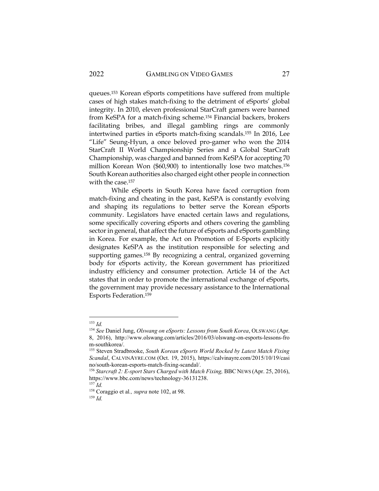queues.<sup>153</sup> Korean eSports competitions have suffered from multiple cases of high stakes match-fixing to the detriment of eSports' global integrity. In 2010, eleven professional StarCraft gamers were banned from KeSPA for a match-fixing scheme.<sup>154</sup> Financial backers, brokers facilitating bribes, and illegal gambling rings are commonly intertwined parties in eSports match-fixing scandals.<sup>155</sup> In 2016, Lee "Life" Seung-Hyun, a once beloved pro-gamer who won the 2014 StarCraft II World Championship Series and a Global StarCraft Championship, was charged and banned from KeSPA for accepting 70 million Korean Won (\$60,900) to intentionally lose two matches.<sup>156</sup> South Korean authorities also charged eight other people in connection with the case.<sup>157</sup>

While eSports in South Korea have faced corruption from match-fixing and cheating in the past, KeSPA is constantly evolving and shaping its regulations to better serve the Korean eSports community. Legislators have enacted certain laws and regulations, some specifically covering eSports and others covering the gambling sector in general, that affect the future of eSports and eSports gambling in Korea. For example, the Act on Promotion of E-Sports explicitly designates KeSPA as the institution responsible for selecting and supporting games.<sup>158</sup> By recognizing a central, organized governing body for eSports activity, the Korean government has prioritized industry efficiency and consumer protection. Article 14 of the Act states that in order to promote the international exchange of eSports, the government may provide necessary assistance to the International Esports Federation.<sup>159</sup>

<sup>158</sup> Coraggio et al*., supra* note 102, at 98.

<sup>153</sup> *Id.*

<sup>154</sup> *See* Daniel Jung, *Olswang on eSports: Lessons from South Korea*, OLSWANG (Apr. 8, 2016), http://www.olswang.com/articles/2016/03/olswang-on-esports-lessons-fro m-southkorea/.

<sup>155</sup> Steven Stradbrooke, *South Korean eSports World Rocked by Latest Match Fixing Scandal*, CALVINAYRE.COM (Oct. 19, 2015), https://calvinayre.com/2015/10/19/casi no/south-korean-esports-match-fixing-scandal/.

<sup>156</sup> *Starcraft 2: E-sport Stars Charged with Match Fixing,* BBC NEWS (Apr. 25, 2016), https://www.bbc.com/news/technology-36131238.

<sup>157</sup> *Id.*

<sup>159</sup> *Id.*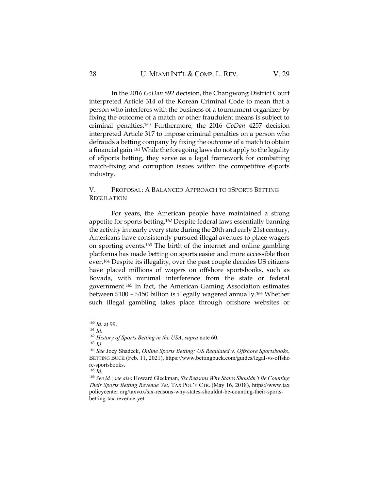In the 2016 *GoDan* 892 decision, the Changwong District Court interpreted Article 314 of the Korean Criminal Code to mean that a person who interferes with the business of a tournament organizer by fixing the outcome of a match or other fraudulent means is subject to criminal penalties.<sup>160</sup> Furthermore, the 2016 *GoDan* 4257 decision interpreted Article 317 to impose criminal penalties on a person who defrauds a betting company by fixing the outcome of a match to obtain a financial gain.<sup>161</sup> While the foregoing laws do not apply to the legality of eSports betting, they serve as a legal framework for combatting match-fixing and corruption issues within the competitive eSports industry.

## V. PROPOSAL: A BALANCED APPROACH TO ESPORTS BETTING REGULATION

For years, the American people have maintained a strong appetite for sports betting.<sup>162</sup> Despite federal laws essentially banning the activity in nearly every state during the 20th and early 21st century, Americans have consistently pursued illegal avenues to place wagers on sporting events.<sup>163</sup> The birth of the internet and online gambling platforms has made betting on sports easier and more accessible than ever.<sup>164</sup> Despite its illegality, over the past couple decades US citizens have placed millions of wagers on offshore sportsbooks, such as Bovada, with minimal interference from the state or federal government.<sup>165</sup> In fact, the American Gaming Association estimates between \$100 – \$150 billion is illegally wagered annually.<sup>166</sup> Whether such illegal gambling takes place through offshore websites or

<sup>160</sup> *Id.* at 99.

<sup>161</sup> *Id.*

<sup>162</sup> *History of Sports Betting in the USA*, *supra* note 60. <sup>163</sup> *Id.*

<sup>164</sup> *See* Joey Shadeck, *Online Sports Betting: US Regulated v. Offshore Sportsbooks*, BETTING BUCK (Feb. 11, 2021), https://www.bettingbuck.com/guides/legal-vs-offsho re-sportsbooks.

<sup>165</sup> *Id.*

<sup>166</sup> *See id.*; *see also* Howard Gleckman, *Six Reasons Why States Shouldn't Be Counting Their Sports Betting Revenue Yet*, TAX POL'Y CTR. (May 16, 2018), https://www.tax policycenter.org/taxvox/six-reasons-why-states-shouldnt-be-counting-their-sportsbetting-tax-revenue-yet.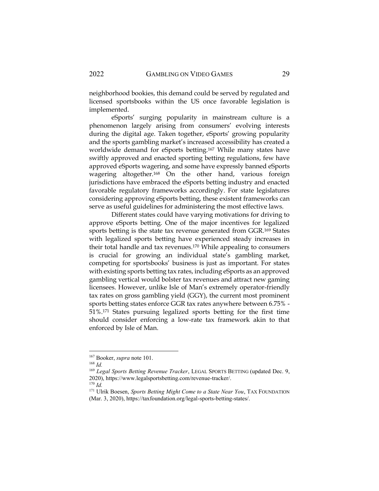neighborhood bookies, this demand could be served by regulated and licensed sportsbooks within the US once favorable legislation is implemented.

eSports' surging popularity in mainstream culture is a phenomenon largely arising from consumers' evolving interests during the digital age. Taken together, eSports' growing popularity and the sports gambling market's increased accessibility has created a worldwide demand for eSports betting.<sup>167</sup> While many states have swiftly approved and enacted sporting betting regulations, few have approved eSports wagering, and some have expressly banned eSports wagering altogether.<sup>168</sup> On the other hand, various foreign jurisdictions have embraced the eSports betting industry and enacted favorable regulatory frameworks accordingly. For state legislatures considering approving eSports betting, these existent frameworks can serve as useful guidelines for administering the most effective laws.

Different states could have varying motivations for driving to approve eSports betting. One of the major incentives for legalized sports betting is the state tax revenue generated from GGR.<sup>169</sup> States with legalized sports betting have experienced steady increases in their total handle and tax revenues.<sup>170</sup> While appealing to consumers is crucial for growing an individual state's gambling market, competing for sportsbooks' business is just as important. For states with existing sports betting tax rates, including eSports as an approved gambling vertical would bolster tax revenues and attract new gaming licensees. However, unlike Isle of Man's extremely operator-friendly tax rates on gross gambling yield (GGY), the current most prominent sports betting states enforce GGR tax rates anywhere between 6.75% - 51%.<sup>171</sup> States pursuing legalized sports betting for the first time should consider enforcing a low-rate tax framework akin to that enforced by Isle of Man.

<sup>167</sup> Booker, *supra* note 101.

<sup>168</sup> *Id.*

<sup>&</sup>lt;sup>169</sup> *Legal Sports Betting Revenue Tracker*, LEGAL SPORTS BETTING (updated Dec. 9, 2020), https://www.legalsportsbetting.com/revenue-tracker/.

<sup>170</sup> *Id.*

<sup>&</sup>lt;sup>171</sup> Ulrik Boesen, *Sports Betting Might Come to a State Near You*, TAX FOUNDATION (Mar. 3, 2020), https://taxfoundation.org/legal-sports-betting-states/.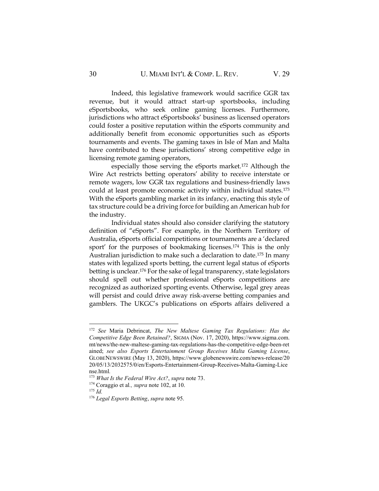Indeed, this legislative framework would sacrifice GGR tax revenue, but it would attract start-up sportsbooks, including eSportsbooks, who seek online gaming licenses. Furthermore, jurisdictions who attract eSportsbooks' business as licensed operators could foster a positive reputation within the eSports community and additionally benefit from economic opportunities such as eSports tournaments and events. The gaming taxes in Isle of Man and Malta have contributed to these jurisdictions' strong competitive edge in licensing remote gaming operators,

especially those serving the eSports market.<sup>172</sup> Although the Wire Act restricts betting operators' ability to receive interstate or remote wagers, low GGR tax regulations and business-friendly laws could at least promote economic activity within individual states.<sup>173</sup> With the eSports gambling market in its infancy, enacting this style of tax structure could be a driving force for building an American hub for the industry.

Individual states should also consider clarifying the statutory definition of "eSports". For example, in the Northern Territory of Australia, eSports official competitions or tournaments are a 'declared sport' for the purposes of bookmaking licenses.<sup>174</sup> This is the only Australian jurisdiction to make such a declaration to date.<sup>175</sup> In many states with legalized sports betting, the current legal status of eSports betting is unclear.<sup>176</sup> For the sake of legal transparency, state legislators should spell out whether professional eSports competitions are recognized as authorized sporting events. Otherwise, legal grey areas will persist and could drive away risk-averse betting companies and gamblers. The UKGC's publications on eSports affairs delivered a

<sup>172</sup> *See* Maria Debrincat, *The New Maltese Gaming Tax Regulations: Has the Competitive Edge Been Retained?*, SIGMA (Nov. 17, 2020), https://www.sigma.com. mt/news/the-new-maltese-gaming-tax-regulations-has-the-competitive-edge-been-ret ained; *see also Esports Entertainment Group Receives Malta Gaming License*, GLOBENEWSWIRE (May 13, 2020), https://www.globenewswire.com/news-release/20 20/05/13/2032575/0/en/Esports-Entertainment-Group-Receives-Malta-Gaming-Lice nse.html*.*

<sup>173</sup> *What Is the Federal Wire Act?*, *supra* note 73.

<sup>174</sup> Coraggio et al*., supra* note 102, at 10.

<sup>175</sup> *Id.*

<sup>176</sup> *Legal Esports Betting*, *supra* note 95.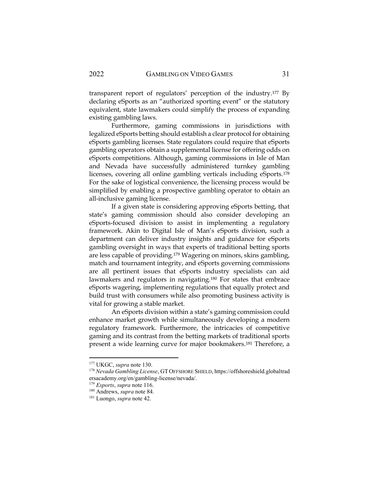transparent report of regulators' perception of the industry.<sup>177</sup> By declaring eSports as an "authorized sporting event" or the statutory equivalent, state lawmakers could simplify the process of expanding existing gambling laws.

Furthermore, gaming commissions in jurisdictions with legalized eSports betting should establish a clear protocol for obtaining eSports gambling licenses. State regulators could require that eSports gambling operators obtain a supplemental license for offering odds on eSports competitions. Although, gaming commissions in Isle of Man and Nevada have successfully administered turnkey gambling licenses, covering all online gambling verticals including eSports.<sup>178</sup> For the sake of logistical convenience, the licensing process would be simplified by enabling a prospective gambling operator to obtain an all-inclusive gaming license.

If a given state is considering approving eSports betting, that state's gaming commission should also consider developing an eSports-focused division to assist in implementing a regulatory framework. Akin to Digital Isle of Man's eSports division, such a department can deliver industry insights and guidance for eSports gambling oversight in ways that experts of traditional betting sports are less capable of providing.<sup>179</sup> Wagering on minors, skins gambling, match and tournament integrity, and eSports governing commissions are all pertinent issues that eSports industry specialists can aid lawmakers and regulators in navigating.<sup>180</sup> For states that embrace eSports wagering, implementing regulations that equally protect and build trust with consumers while also promoting business activity is vital for growing a stable market.

An eSports division within a state's gaming commission could enhance market growth while simultaneously developing a modern regulatory framework. Furthermore, the intricacies of competitive gaming and its contrast from the betting markets of traditional sports present a wide learning curve for major bookmakers.<sup>181</sup> Therefore, a

<sup>177</sup> UKGC, *supra* note 130.

<sup>178</sup> *Nevada Gambling License*, GT OFFSHORE SHIELD, https://offshoreshield.globaltrad ersacademy.org/en/gambling-license/nevada/.

<sup>179</sup> *Esports*, *supra* note 116.

<sup>180</sup> Andrews, *supra* note 84.

<sup>181</sup> Luongo, *supra* note 42.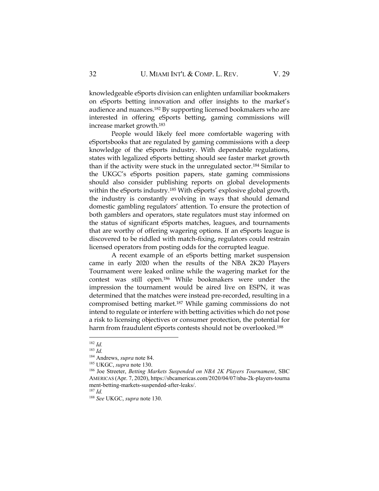knowledgeable eSports division can enlighten unfamiliar bookmakers on eSports betting innovation and offer insights to the market's audience and nuances.<sup>182</sup> By supporting licensed bookmakers who are interested in offering eSports betting, gaming commissions will increase market growth.<sup>183</sup>

People would likely feel more comfortable wagering with eSportsbooks that are regulated by gaming commissions with a deep knowledge of the eSports industry. With dependable regulations, states with legalized eSports betting should see faster market growth than if the activity were stuck in the unregulated sector.<sup>184</sup> Similar to the UKGC's eSports position papers, state gaming commissions should also consider publishing reports on global developments within the eSports industry.<sup>185</sup> With eSports' explosive global growth, the industry is constantly evolving in ways that should demand domestic gambling regulators' attention. To ensure the protection of both gamblers and operators, state regulators must stay informed on the status of significant eSports matches, leagues, and tournaments that are worthy of offering wagering options. If an eSports league is discovered to be riddled with match-fixing, regulators could restrain licensed operators from posting odds for the corrupted league.

A recent example of an eSports betting market suspension came in early 2020 when the results of the NBA 2K20 Players Tournament were leaked online while the wagering market for the contest was still open.<sup>186</sup> While bookmakers were under the impression the tournament would be aired live on ESPN, it was determined that the matches were instead pre-recorded, resulting in a compromised betting market.<sup>187</sup> While gaming commissions do not intend to regulate or interfere with betting activities which do not pose a risk to licensing objectives or consumer protection, the potential for harm from fraudulent eSports contests should not be overlooked.<sup>188</sup>

<sup>188</sup> *See* UKGC, *supra* note 130.

<sup>182</sup> *Id.*

<sup>183</sup> *Id.*

<sup>184</sup> Andrews, *supra* note 84.

<sup>185</sup> UKGC, *supra* note 130.

<sup>186</sup> Joe Streeter, *Betting Markets Suspended on NBA 2K Players Tournament*, SBC AMERICAS (Apr. 7, 2020), https://sbcamericas.com/2020/04/07/nba-2k-players-tourna ment-betting-markets-suspended-after-leaks/. <sup>187</sup> *Id.*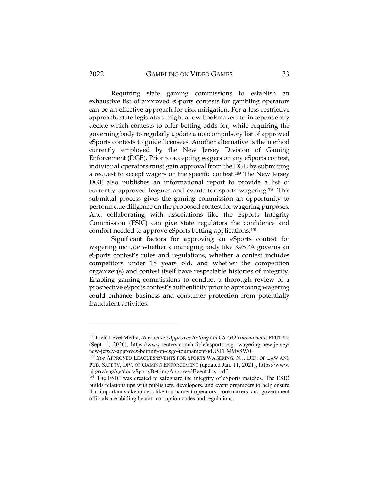Requiring state gaming commissions to establish an exhaustive list of approved eSports contests for gambling operators can be an effective approach for risk mitigation. For a less restrictive approach, state legislators might allow bookmakers to independently decide which contests to offer betting odds for, while requiring the governing body to regularly update a noncompulsory list of approved eSports contests to guide licensees. Another alternative is the method currently employed by the New Jersey Division of Gaming Enforcement (DGE). Prior to accepting wagers on any eSports contest, individual operators must gain approval from the DGE by submitting a request to accept wagers on the specific contest.<sup>189</sup> The New Jersey DGE also publishes an informational report to provide a list of currently approved leagues and events for sports wagering.<sup>190</sup> This submittal process gives the gaming commission an opportunity to perform due diligence on the proposed contest for wagering purposes. And collaborating with associations like the Esports Integrity Commission (ESIC) can give state regulators the confidence and comfort needed to approve eSports betting applications.<sup>191</sup>

Significant factors for approving an eSports contest for wagering include whether a managing body like KeSPA governs an eSports contest's rules and regulations, whether a contest includes competitors under 18 years old, and whether the competition organizer(s) and contest itself have respectable histories of integrity. Enabling gaming commissions to conduct a thorough review of a prospective eSports contest's authenticity prior to approving wagering could enhance business and consumer protection from potentially fraudulent activities.

<sup>189</sup> Field Level Media, *New Jersey Approves Betting On CS:GO Tournament*, REUTERS (Sept. 1, 2020), https://www.reuters.com/article/esports-csgo-wagering-new-jersey/ new-jersey-approves-betting-on-csgo-tournament-idUSFLM9lvSW0.

<sup>190</sup> *See* APPROVED LEAGUES/EVENTS FOR SPORTS WAGERING, N.J. DEP. OF LAW AND PUB. SAFETY, DIV. OF GAMING ENFORCEMENT (updated Jan. 11, 2021), https://www. nj.gov/oag/ge/docs/SportsBetting/ApprovedEventsList.pdf.

<sup>&</sup>lt;sup>191</sup> The ESIC was created to safeguard the integrity of eSports matches. The ESIC builds relationships with publishers, developers, and event organizers to help ensure that important stakeholders like tournament operators, bookmakers, and government officials are abiding by anti-corruption codes and regulations.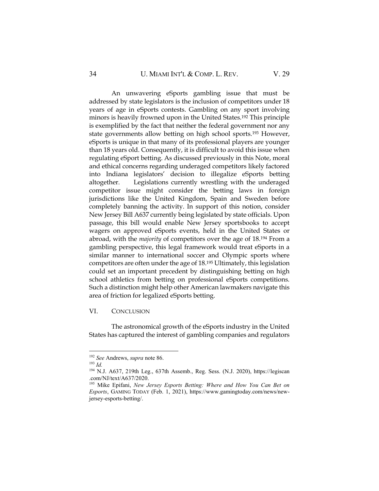An unwavering eSports gambling issue that must be addressed by state legislators is the inclusion of competitors under 18 years of age in eSports contests. Gambling on any sport involving minors is heavily frowned upon in the United States.<sup>192</sup> This principle is exemplified by the fact that neither the federal government nor any state governments allow betting on high school sports.<sup>193</sup> However, eSports is unique in that many of its professional players are younger than 18 years old. Consequently, it is difficult to avoid this issue when regulating eSport betting. As discussed previously in this Note, moral and ethical concerns regarding underaged competitors likely factored into Indiana legislators' decision to illegalize eSports betting altogether. Legislations currently wrestling with the underaged competitor issue might consider the betting laws in foreign jurisdictions like the United Kingdom, Spain and Sweden before completely banning the activity. In support of this notion, consider New Jersey Bill A637 currently being legislated by state officials. Upon passage, this bill would enable New Jersey sportsbooks to accept wagers on approved eSports events, held in the United States or abroad, with the *majority* of competitors over the age of 18.<sup>194</sup> From a gambling perspective, this legal framework would treat eSports in a similar manner to international soccer and Olympic sports where competitors are often under the age of 18.<sup>195</sup> Ultimately, this legislation could set an important precedent by distinguishing betting on high school athletics from betting on professional eSports competitions. Such a distinction might help other American lawmakers navigate this area of friction for legalized eSports betting.

VI. CONCLUSION

The astronomical growth of the eSports industry in the United States has captured the interest of gambling companies and regulators

<sup>192</sup> *See* Andrews, *supra* note 86.

<sup>193</sup> *Id.*

<sup>194</sup> N.J. A637, 219th Leg., 637th Assemb., Reg. Sess. (N.J. 2020), https://legiscan .com/NJ/text/A637/2020.

<sup>195</sup> Mike Epifani, *New Jersey Esports Betting: Where and How You Can Bet on Esports*, GAMING TODAY (Feb. 1, 2021), https://www.gamingtoday.com/news/newjersey-esports-betting/.